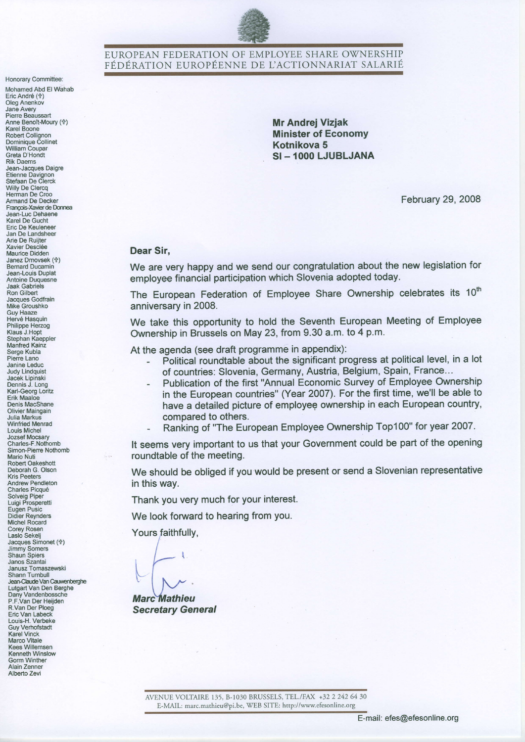

### EUROPEAN FEDERATION OF EMPLOYEE SHARE OWNERSHIP FÉDÉRATION EUROPÉENNE DE L'ACTIONNARIAT SALARIÉ

Honorary Committee:

Mohamed Abd El Wahab Eric André (†)<br>Oleg Anenkov Jane Avery Pierre Beaussart<br>Anne Benoît-Moury (†) Karel Boone Robert Collignon<br>Dominique Collinet<br>William Coupar Greta D'Hondt **Rik Daems** Jean-Jacques Daigre Etienne Davignon<br>Stefaan De Clerck Willy De Clercq<br>Herman De Croo<br>Armand De Decker François-Xavier de Donnea Jean-Luc Debaene Karel De Gucht Eric De Keuleneer Jan De Landsheer Arie De Ruijter Xavier Desclée Maurice Didden Janez Drnovsek (†) **Bernard Ducamin** Jean-Louis Duplat Antoine Duquesne **Jaak Gabriels** Ron Gilbert Jacques Godfrain Mike Groushko **Guv Haaze** Hervé Hasquin Philippe Herzog<br>Klaus J.Hopt Stephan Kaeppler<br>Manfred Kainz Serge Kubla Pierre Lano Janine Leduc **Judy Lindquist** Jacek Lipinski<br>Dennis J. Long Karl-Georg Loritz Erik Maaloe<br>Denis MacShane **Olivier Maingain** Julia Markus<br>Winfried Menrad **Louis Michel** Jozsef Mocsary<br>Charles-F.Nothomb Simon-Pierre Nothomb **Mario Nuti** Robert Oakeshott Deborah G. Olson **Kris Peeters** Andrew Pendleton Charles Picqué Solveig Piper<br>Luigi Prosperetti Eugen Pusic Didier Reynders<br>Michel Rocard Corey Rosen<br>Laslo Sekelj Jacques Simonet (令) Jimmy Somers<br>Shaun Spiers Janos Szantai Janusz Tomaszewski Shann Turnbull Jean-Claude Van Cauwenberghe Lutgart Van Den Berghe Dany Vandenbossche P.F.Van Der Heijden R Van Der Ploeg Eric Van Labeck Louis-H. Verbeke **Guv Verhofstadt Karel Vinck** Marco Vitale<br>Kees Willemsen Kenneth Winslow Gorm Winther Alain Zenner Alberto Zevi

**Mr Andrei Vizjak Minister of Economy** Kotnikova 5 SI-1000 LJUBLJANA

February 29, 2008

#### Dear Sir.

We are very happy and we send our congratulation about the new legislation for employee financial participation which Slovenia adopted today.

The European Federation of Employee Share Ownership celebrates its 10<sup>th</sup> anniversary in 2008.

We take this opportunity to hold the Seventh European Meeting of Employee Ownership in Brussels on May 23, from 9.30 a.m. to 4 p.m.

At the agenda (see draft programme in appendix):

- Political roundtable about the significant progress at political level, in a lot of countries: Slovenia, Germany, Austria, Belgium, Spain, France...
- Publication of the first "Annual Economic Survey of Employee Ownership in the European countries" (Year 2007). For the first time, we'll be able to have a detailed picture of employee ownership in each European country, compared to others.
- Ranking of "The European Employee Ownership Top100" for year 2007.

It seems very important to us that your Government could be part of the opening roundtable of the meeting.

We should be obliged if you would be present or send a Slovenian representative in this way.

Thank you very much for your interest.

We look forward to hearing from you.

Yours faithfully,

**Marc Mathieu Secretary General** 

AVENUE VOLTAIRE 135, B-1030 BRUSSELS, TEL./FAX +32 2 242 64 30 E-MAIL: marc.mathieu@pi.be, WEB SITE: http://www.efesonline.org